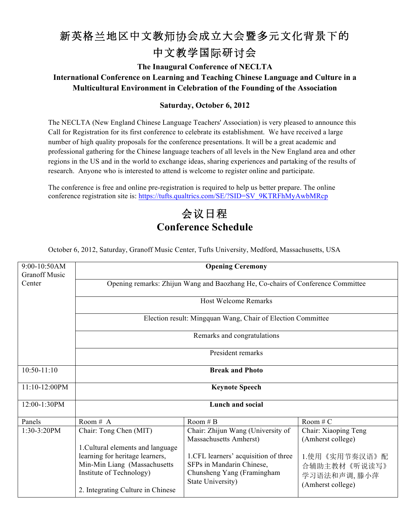## 新英格兰地区中文教师协会成立大会暨多元文化背景下的 中文教学国际研讨会

**The Inaugural Conference of NECLTA**

**International Conference on Learning and Teaching Chinese Language and Culture in a Multicultural Environment in Celebration of the Founding of the Association**

## **Saturday, October 6, 2012**

The NECLTA (New England Chinese Language Teachers' Association) is very pleased to announce this Call for Registration for its first conference to celebrate its establishment. We have received a large number of high quality proposals for the conference presentations. It will be a great academic and professional gathering for the Chinese language teachers of all levels in the New England area and other regions in the US and in the world to exchange ideas, sharing experiences and partaking of the results of research. Anyone who is interested to attend is welcome to register online and participate.

The conference is free and online pre-registration is required to help us better prepare. The online conference registration site is: https://tufts.qualtrics.com/SE/?SID=SV\_9KTRFhMyAwbMRcp

## 会议日程 **Conference Schedule**

October 6, 2012, Saturday, Granoff Music Center, Tufts University, Medford, Massachusetts, USA

| 9:00-10:50AM<br><b>Granoff Music</b> | <b>Opening Ceremony</b>                                                                        |                                                                                                     |                                                            |  |
|--------------------------------------|------------------------------------------------------------------------------------------------|-----------------------------------------------------------------------------------------------------|------------------------------------------------------------|--|
| Center                               | Opening remarks: Zhijun Wang and Baozhang He, Co-chairs of Conference Committee                |                                                                                                     |                                                            |  |
|                                      | <b>Host Welcome Remarks</b>                                                                    |                                                                                                     |                                                            |  |
|                                      | Election result: Mingquan Wang, Chair of Election Committee                                    |                                                                                                     |                                                            |  |
|                                      | Remarks and congratulations                                                                    |                                                                                                     |                                                            |  |
|                                      | President remarks                                                                              |                                                                                                     |                                                            |  |
| $10:50-11:10$                        | <b>Break and Photo</b>                                                                         |                                                                                                     |                                                            |  |
| 11:10-12:00PM                        | <b>Keynote Speech</b>                                                                          |                                                                                                     |                                                            |  |
| 12:00-1:30PM                         | <b>Lunch and social</b>                                                                        |                                                                                                     |                                                            |  |
| Panels                               | Room # $\overline{A}$                                                                          | Room # $\overline{B}$                                                                               | Room # $C$                                                 |  |
| 1:30-3:20PM                          | Chair: Tong Chen (MIT)<br>1. Cultural elements and language<br>learning for heritage learners, | Chair: Zhijun Wang (University of<br>Massachusetts Amherst)<br>1.CFL learners' acquisition of three | Chair: Xiaoping Teng<br>(Amherst college)<br>1.使用《实用节奏汉语》配 |  |
|                                      | Min-Min Liang (Massachusetts<br>Institute of Technology)<br>2. Integrating Culture in Chinese  | SFPs in Mandarin Chinese,<br>Chunsheng Yang (Framingham<br>State University)                        | 合辅助主教材《听说读写》<br>学习语法和声调, 滕小萍<br>(Amherst college)          |  |